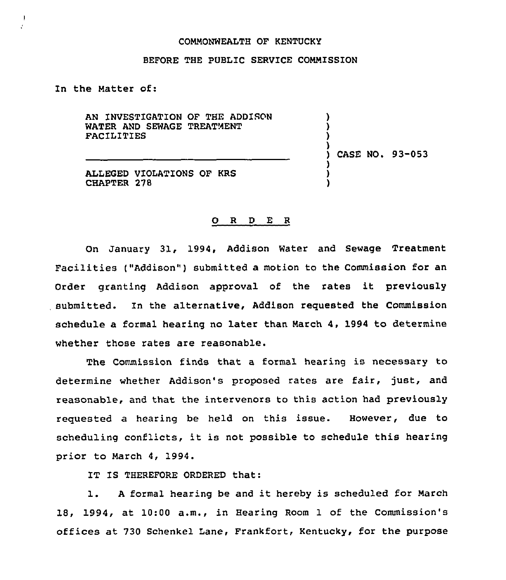## COMMONWEALTH OF KENTUCKY

## BEFORE THE PUBLIC SERVICE COMMISSION

In the Matter of:

 $\mathbf{I}$  $\epsilon$ 

> AN INVESTIGATION OF THE ADDISON WATER AND SEWAGE TREATMENT **FACILITIES**

ALLEGED VIOLATIONS OF KRS CHAPTER 278

) CASE NO. 93-053

) ) ) )

) ) )

## O R D E R

On January 31, 1994, Addison Water and Sewage Treatment Facilities ("Addison") submitted a motion to the Commission for an order granting Addison approval of the rates it previously submitted. In the alternative, Addison requested the Commission schedule a formal hearing no later than March 4, 1994 to determine whether those rates are reasonable.

The Commission finds that a formal hearing is necessary to determine whether Addison's proposed rates are fair, just, and reasonable, and that the intervenors to this action had previously requested a hearing be held on this issue. However, due to scheduling conflicts, it is not possible to schedule this hearing prior to March 4, 1994.

IT IS THEREFORE ORDERED that:

1. <sup>A</sup> formal hearing be and it hereby is scheduled for March 18, 1994, at 10:00 a.m., in Hearing Room 1 of the Commission's offices at 730 Schenkel Lane, Frankfort, Kentucky, for the purpose